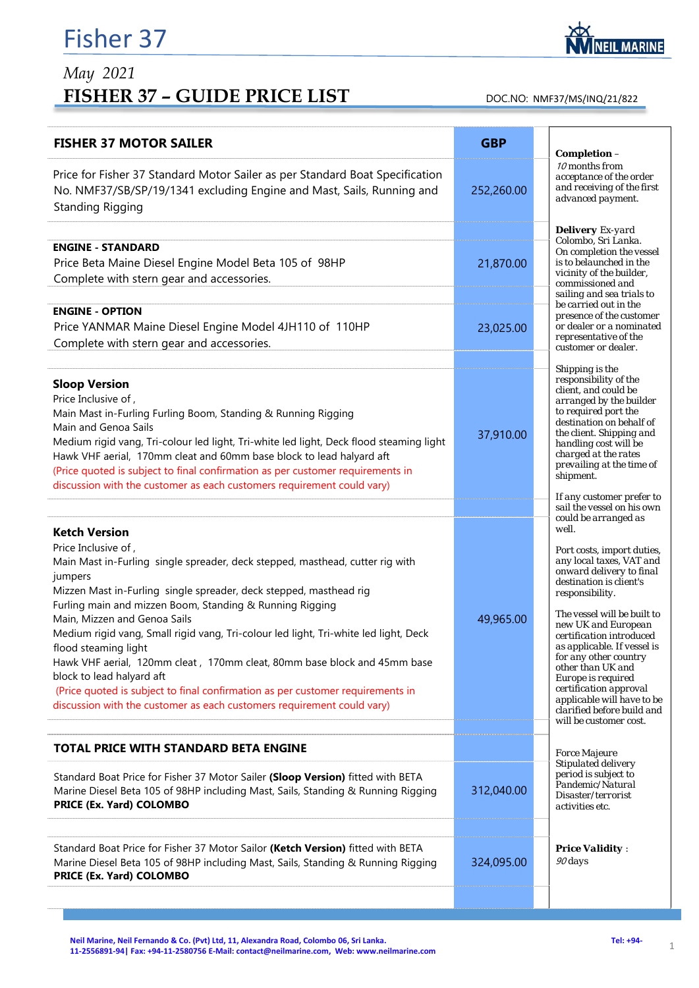## Fisher 37

## *May 2021*  FISHER 37 - GUIDE PRICE LIST DOC.NO: NMF37/MS/INQ/21/822

| <b>FISHER 37 MOTOR SAILER</b>                                                                                                                                                                                                                                                                                                                                                                                                                                                                                                                                                                                                                                                                  | <b>GBP</b> | Completion -                                                                                                                                                                                                                                                                                                                                                                                                                                   |
|------------------------------------------------------------------------------------------------------------------------------------------------------------------------------------------------------------------------------------------------------------------------------------------------------------------------------------------------------------------------------------------------------------------------------------------------------------------------------------------------------------------------------------------------------------------------------------------------------------------------------------------------------------------------------------------------|------------|------------------------------------------------------------------------------------------------------------------------------------------------------------------------------------------------------------------------------------------------------------------------------------------------------------------------------------------------------------------------------------------------------------------------------------------------|
| Price for Fisher 37 Standard Motor Sailer as per Standard Boat Specification<br>No. NMF37/SB/SP/19/1341 excluding Engine and Mast, Sails, Running and<br><b>Standing Rigging</b>                                                                                                                                                                                                                                                                                                                                                                                                                                                                                                               | 252,260.00 | 10 months from<br>acceptance of the order<br>and receiving of the first<br>advanced payment.                                                                                                                                                                                                                                                                                                                                                   |
|                                                                                                                                                                                                                                                                                                                                                                                                                                                                                                                                                                                                                                                                                                |            | <b>Delivery</b> Ex-yard                                                                                                                                                                                                                                                                                                                                                                                                                        |
| <b>ENGINE - STANDARD</b>                                                                                                                                                                                                                                                                                                                                                                                                                                                                                                                                                                                                                                                                       |            | Colombo, Sri Lanka.<br>On completion the vessel                                                                                                                                                                                                                                                                                                                                                                                                |
| Price Beta Maine Diesel Engine Model Beta 105 of 98HP                                                                                                                                                                                                                                                                                                                                                                                                                                                                                                                                                                                                                                          | 21,870.00  | is to belaunched in the<br>vicinity of the builder,                                                                                                                                                                                                                                                                                                                                                                                            |
| Complete with stern gear and accessories.                                                                                                                                                                                                                                                                                                                                                                                                                                                                                                                                                                                                                                                      |            | commissioned and<br>sailing and sea trials to                                                                                                                                                                                                                                                                                                                                                                                                  |
| <b>ENGINE - OPTION</b>                                                                                                                                                                                                                                                                                                                                                                                                                                                                                                                                                                                                                                                                         |            | be carried out in the                                                                                                                                                                                                                                                                                                                                                                                                                          |
| Price YANMAR Maine Diesel Engine Model 4JH110 of 110HP                                                                                                                                                                                                                                                                                                                                                                                                                                                                                                                                                                                                                                         | 23,025.00  | presence of the customer<br>or dealer or a nominated                                                                                                                                                                                                                                                                                                                                                                                           |
| Complete with stern gear and accessories.                                                                                                                                                                                                                                                                                                                                                                                                                                                                                                                                                                                                                                                      |            | representative of the<br>customer or dealer.                                                                                                                                                                                                                                                                                                                                                                                                   |
|                                                                                                                                                                                                                                                                                                                                                                                                                                                                                                                                                                                                                                                                                                |            |                                                                                                                                                                                                                                                                                                                                                                                                                                                |
| <b>Sloop Version</b><br>Price Inclusive of,<br>Main Mast in-Furling Furling Boom, Standing & Running Rigging<br>Main and Genoa Sails<br>Medium rigid vang, Tri-colour led light, Tri-white led light, Deck flood steaming light<br>Hawk VHF aerial, 170mm cleat and 60mm base block to lead halyard aft<br>(Price quoted is subject to final confirmation as per customer requirements in<br>discussion with the customer as each customers requirement could vary)                                                                                                                                                                                                                            | 37,910.00  | Shipping is the<br>responsibility of the<br>client, and could be<br>arranged by the builder<br>to required port the<br>destination on behalf of<br>the client. Shipping and<br>handling cost will be<br>charged at the rates<br>prevailing at the time of<br>shipment.                                                                                                                                                                         |
|                                                                                                                                                                                                                                                                                                                                                                                                                                                                                                                                                                                                                                                                                                |            | If any customer prefer to                                                                                                                                                                                                                                                                                                                                                                                                                      |
|                                                                                                                                                                                                                                                                                                                                                                                                                                                                                                                                                                                                                                                                                                |            | sail the vessel on his own<br>could be arranged as                                                                                                                                                                                                                                                                                                                                                                                             |
| <b>Ketch Version</b><br>Price Inclusive of,<br>Main Mast in-Furling single spreader, deck stepped, masthead, cutter rig with<br>jumpers<br>Mizzen Mast in-Furling single spreader, deck stepped, masthead rig<br>Furling main and mizzen Boom, Standing & Running Rigging<br>Main, Mizzen and Genoa Sails<br>Medium rigid vang, Small rigid vang, Tri-colour led light, Tri-white led light, Deck<br>flood steaming light<br>Hawk VHF aerial, 120mm cleat, 170mm cleat, 80mm base block and 45mm base<br>block to lead halyard aft<br>(Price quoted is subject to final confirmation as per customer requirements in<br>discussion with the customer as each customers requirement could vary) | 49,965.00  | well.<br>Port costs, import duties,<br>any local taxes, VAT and<br>onward delivery to final<br>destination is client's<br>responsibility.<br>The vessel will be built to<br>new UK and European<br>certification introduced<br>as applicable. If vessel is<br>for any other country<br>other than UK and<br>Europe is required<br>certification approval<br>applicable will have to be<br>clarified before build and<br>will be customer cost. |
| <b>TOTAL PRICE WITH STANDARD BETA ENGINE</b>                                                                                                                                                                                                                                                                                                                                                                                                                                                                                                                                                                                                                                                   |            | <b>Force Majeure</b>                                                                                                                                                                                                                                                                                                                                                                                                                           |
| Standard Boat Price for Fisher 37 Motor Sailer (Sloop Version) fitted with BETA<br>Marine Diesel Beta 105 of 98HP including Mast, Sails, Standing & Running Rigging<br>PRICE (Ex. Yard) COLOMBO                                                                                                                                                                                                                                                                                                                                                                                                                                                                                                | 312,040.00 | Stipulated delivery<br>period is subject to<br>Pandemic/Natural<br>Disaster/terrorist<br>activities etc.                                                                                                                                                                                                                                                                                                                                       |
| Standard Boat Price for Fisher 37 Motor Sailor (Ketch Version) fitted with BETA<br>Marine Diesel Beta 105 of 98HP including Mast, Sails, Standing & Running Rigging<br>PRICE (Ex. Yard) COLOMBO                                                                                                                                                                                                                                                                                                                                                                                                                                                                                                | 324,095.00 | <b>Price Validity:</b><br>90 days                                                                                                                                                                                                                                                                                                                                                                                                              |

Neil Marine, Neil Fernando & Co. (Pvt) Ltd, 11, Alexandra Road, Colombo 06, Sri Lanka. **Tel: +94** · (194 · 194 · 194 · 194 · 194 · 194 · 194 · 194 · 194 · 194 · 197 · 197 · 197 · 198 · 199 · 199 · 199 · 199 · 199 · 199 · 1 Neil Marine, Neil Fernando & Co. (Pvt) Ltd, 11, Alexandra Road, Colombo 06, Sri Lanka.<br>11-2556891-94| Fax: +94-11-2580756 E-Mail: contact@neilmarine.com, Web: www.neilmarine.com **1986-00-201-201-201-**